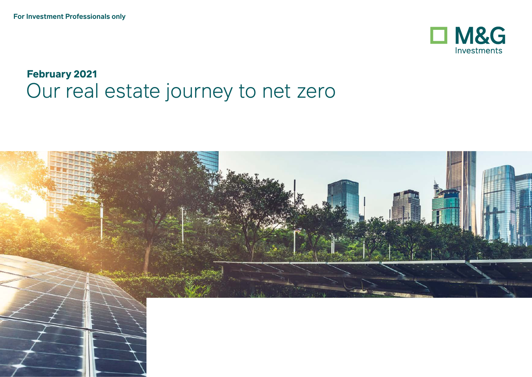

# **February 2021** Our real estate journey to net zero

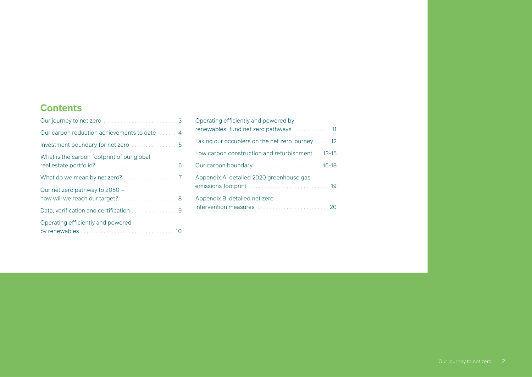#### **Contents**

| Our carbon reduction achievements to date  4                       |
|--------------------------------------------------------------------|
|                                                                    |
| What is the carbon footprint of our global                         |
|                                                                    |
| Our net zero pathway to 2050 -<br>how will we reach our target?  8 |
|                                                                    |
| Operating efficiently and powered                                  |

| Operating efficiently and powered by             |
|--------------------------------------------------|
| Taking our occupiers on the net zero journey  12 |
| Low carbon construction and refurbishment 13-15  |
|                                                  |
| Appendix A: detailed 2020 greenhouse gas         |
| Appendix B: detailed net zero                    |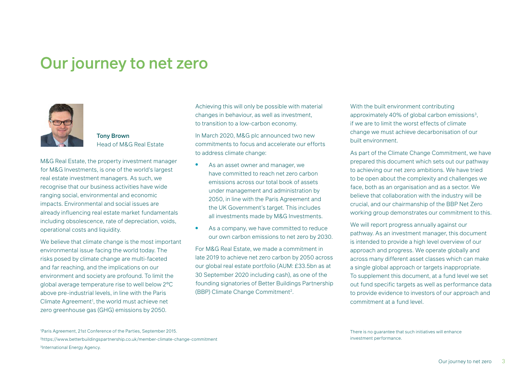# <span id="page-2-0"></span>Our journey to net zero



Tony Brown Head of M&G Real Estate

M&G Real Estate, the property investment manager for M&G Investments, is one of the world's largest real estate investment managers. As such, we recognise that our business activities have wide ranging social, environmental and economic impacts. Environmental and social issues are already influencing real estate market fundamentals including obsolescence, rate of depreciation, voids, operational costs and liquidity.

We believe that climate change is the most important environmental issue facing the world today. The risks posed by climate change are multi-faceted and far reaching, and the implications on our environment and society are profound. To limit the global average temperature rise to well below 2°C above pre-industrial levels, in line with the Paris Climate Agreement<sup>1</sup>, the world must achieve net zero greenhouse gas (GHG) emissions by 2050.

Achieving this will only be possible with material changes in behaviour, as well as investment, to transition to a low-carbon economy.

In March 2020, M&G plc announced two new commitments to focus and accelerate our efforts to address climate change:

- As an asset owner and manager, we have committed to reach net zero carbon emissions across our total book of assets under management and administration by 2050, in line with the Paris Agreement and the UK Government's target. This includes all investments made by M&G Investments.
- As a company, we have committed to reduce our own carbon emissions to net zero by 2030.

For M&G Real Estate, we made a commitment in late 2019 to achieve net zero carbon by 2050 across our global real estate portfolio (AUM: £33.5bn as at 30 September 2020 including cash), as one of the founding signatories of Better Buildings Partnership (BBP) Climate Change Commitment2.

With the built environment contributing approximately 40% of global carbon emissions<sup>3</sup>. if we are to limit the worst effects of climate change we must achieve decarbonisation of our built environment.

As part of the Climate Change Commitment, we have prepared this document which sets out our pathway to achieving our net zero ambitions. We have tried to be open about the complexity and challenges we face, both as an organisation and as a sector. We believe that collaboration with the industry will be crucial, and our chairmanship of the BBP Net Zero working group demonstrates our commitment to this.

We will report progress annually against our pathway. As an investment manager, this document is intended to provide a high level overview of our approach and progress. We operate globally and across many different asset classes which can make a single global approach or targets inappropriate. To supplement this document, at a fund level we set out fund specific targets as well as performance data to provide evidence to investors of our approach and commitment at a fund level.

1 Paris Agreement, 21st Conference of the Parties, September 2015. 2 https://www.betterbuildingspartnership.co.uk/member-climate-change-commitment 3International Energy Agency.

There is no guarantee that such initiatives will enhance investment performance.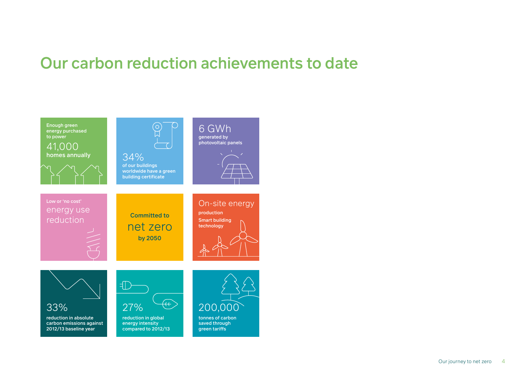# <span id="page-3-0"></span>Our carbon reduction achievements to date

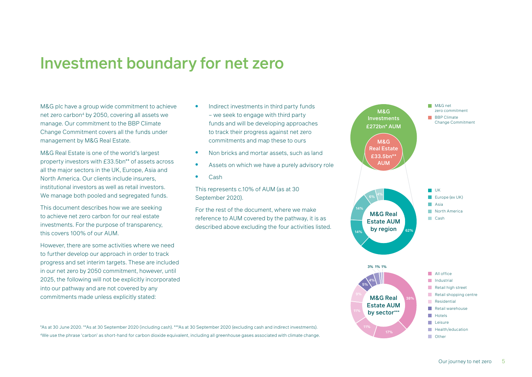### <span id="page-4-0"></span>Investment boundary for net zero

M&G plc have a group wide commitment to achieve net zero carbon<sup>4</sup> by 2050, covering all assets we manage. Our commitment to the BBP Climate Change Commitment covers all the funds under management by M&G Real Estate.

M&G Real Estate is one of the world's largest property investors with £33.5bn\*\* of assets across all the major sectors in the UK, Europe, Asia and North America. Our clients include insurers, institutional investors as well as retail investors. We manage both pooled and segregated funds.

This document describes how we are seeking to achieve net zero carbon for our real estate investments. For the purpose of transparency, this covers 100% of our AUM.

However, there are some activities where we need to further develop our approach in order to track progress and set interim targets. These are included in our net zero by 2050 commitment, however, until 2025, the following will not be explicitly incorporated into our pathway and are not covered by any commitments made unless explicitly stated:

- Indirect investments in third party funds – we seek to engage with third party funds and will be developing approaches to track their progress against net zero commitments and map these to ours
- Non bricks and mortar assets, such as land
- Assets on which we have a purely advisory role
- Cash

This represents c.10% of AUM (as at 30 September 2020).

For the rest of the document, where we make reference to AUM covered by the pathway, it is as described above excluding the four activities listed.



\*As at 30 June 2020. \*\*As at 30 September 2020 (including cash). \*\*\*As at 30 September 2020 (excluding cash and indirect investments). 4We use the phrase 'carbon' as short-hand for carbon dioxide equivalent, including all greenhouse gases associated with climate change.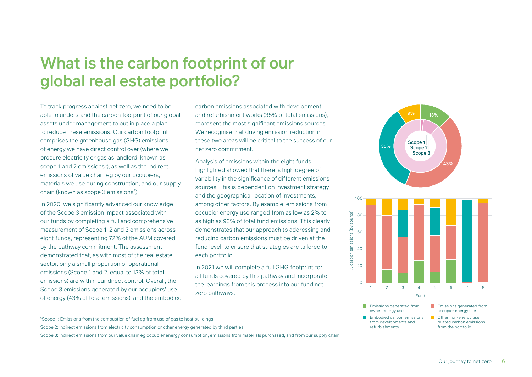# <span id="page-5-0"></span>What is the carbon footprint of our global real estate portfolio?

To track progress against net zero, we need to be able to understand the carbon footprint of our global assets under management to put in place a plan to reduce these emissions. Our carbon footprint comprises the greenhouse gas (GHG) emissions of energy we have direct control over (where we procure electricity or gas as landlord, known as scope 1 and 2 emissions<sup>5</sup>), as well as the indirect emissions of value chain eg by our occupiers, materials we use during construction, and our supply chain (known as scope 3 emissions<sup>5</sup>).

In 2020, we significantly advanced our knowledge of the Scope 3 emission impact associated with our funds by completing a full and comprehensive measurement of Scope 1, 2 and 3 emissions across eight funds, representing 72% of the AUM covered by the pathway commitment. The assessment demonstrated that, as with most of the real estate sector, only a small proportion of operational emissions (Scope 1 and 2, equal to 13% of total emissions) are within our direct control. Overall, the Scope 3 emissions generated by our occupiers' use of energy (43% of total emissions), and the embodied carbon emissions associated with development and refurbishment works (35% of total emissions), represent the most significant emissions sources. We recognise that driving emission reduction in these two areas will be critical to the success of our net zero commitment.

Analysis of emissions within the eight funds highlighted showed that there is high degree of variability in the significance of different emissions sources. This is dependent on investment strategy and the geographical location of investments, among other factors. By example, emissions from occupier energy use ranged from as low as 2% to as high as 93% of total fund emissions. This clearly demonstrates that our approach to addressing and reducing carbon emissions must be driven at the fund level, to ensure that strategies are tailored to each portfolio.

In 2021 we will complete a full GHG footprint for all funds covered by this pathway and incorporate the learnings from this process into our fund net zero pathways.







- occupier energy use
- related carbon emissions from the portfolio

<sup>5</sup>Scope 1: Emissions from the combustion of fuel eg from use of gas to heat buildings.

Scope 2: Indirect emissions from electricity consumption or other energy generated by third parties.

Scope 3: Indirect emissions from our value chain eg occupier energy consumption, emissions from materials purchased, and from our supply chain.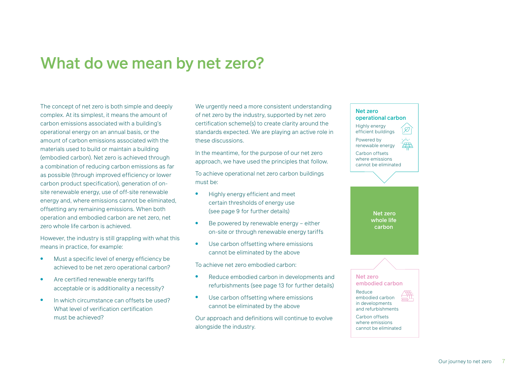## <span id="page-6-0"></span>What do we mean by net zero?

The concept of net zero is both simple and deeply complex. At its simplest, it means the amount of carbon emissions associated with a building's operational energy on an annual basis, or the amount of carbon emissions associated with the materials used to build or maintain a building (embodied carbon). Net zero is achieved through a combination of reducing carbon emissions as far as possible (through improved efficiency or lower carbon product specification), generation of onsite renewable energy, use of off-site renewable energy and, where emissions cannot be eliminated, offsetting any remaining emissions. When both operation and embodied carbon are net zero, net zero whole life carbon is achieved.

However, the industry is still grappling with what this means in practice, for example:

- Must a specific level of energy efficiency be achieved to be net zero operational carbon?
- Are certified renewable energy tariffs acceptable or is additionality a necessity?
- In which circumstance can offsets be used? What level of verification certification must be achieved?

We urgently need a more consistent understanding of net zero by the industry, supported by net zero certification scheme(s) to create clarity around the standards expected. We are playing an active role in these discussions.

In the meantime, for the purpose of our net zero approach, we have used the principles that follow.

To achieve operational net zero carbon buildings must be:

- Highly energy efficient and meet certain thresholds of energy use (see page 9 for further details)
- $\bullet$  Be powered by renewable energy either on-site or through renewable energy tariffs
- Use carbon offsetting where emissions cannot be eliminated by the above

To achieve net zero embodied carbon:

- Reduce embodied carbon in developments and refurbishments (see page 13 for further details)
- Use carbon offsetting where emissions cannot be eliminated by the above

Our approach and definitions will continue to evolve alongside the industry.

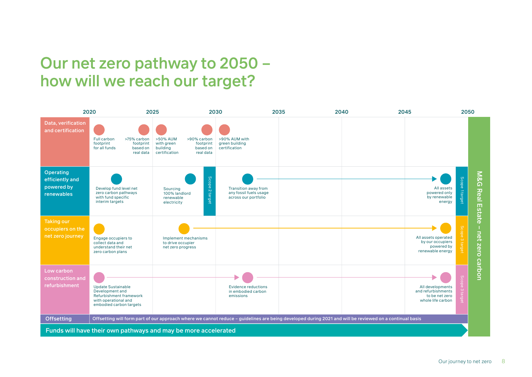# <span id="page-7-0"></span>Our net zero pathway to 2050 – how will we reach our target?

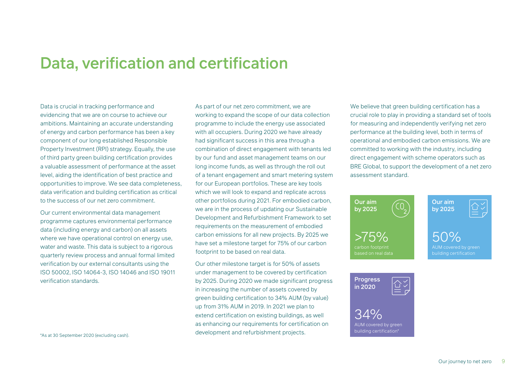### <span id="page-8-0"></span>Data, verification and certification

Data is crucial in tracking performance and evidencing that we are on course to achieve our ambitions. Maintaining an accurate understanding of energy and carbon performance has been a key component of our long established Responsible Property Investment (RPI) strategy. Equally, the use of third party green building certification provides a valuable assessment of performance at the asset level, aiding the identification of best practice and opportunities to improve. We see data completeness, data verification and building certification as critical to the success of our net zero commitment.

Our current environmental data management programme captures environmental performance data (including energy and carbon) on all assets where we have operational control on energy use, water and waste. This data is subject to a rigorous quarterly review process and annual formal limited verification by our external consultants using the ISO 50002, ISO 14064-3, ISO 14046 and ISO 19011 verification standards.

\*As at 30 September 2020 (excluding cash).

As part of our net zero commitment, we are working to expand the scope of our data collection programme to include the energy use associated with all occupiers. During 2020 we have already had significant success in this area through a combination of direct engagement with tenants led by our fund and asset management teams on our long income funds, as well as through the roll out of a tenant engagement and smart metering system for our European portfolios. These are key tools which we will look to expand and replicate across other portfolios during 2021. For embodied carbon, we are in the process of updating our Sustainable Development and Refurbishment Framework to set requirements on the measurement of embodied carbon emissions for all new projects. By 2025 we have set a milestone target for 75% of our carbon footprint to be based on real data.

Our other milestone target is for 50% of assets under management to be covered by certification by 2025. During 2020 we made significant progress in increasing the number of assets covered by green building certification to 34% AUM (by value) up from 31% AUM in 2019. In 2021 we plan to extend certification on existing buildings, as well as enhancing our requirements for certification on development and refurbishment projects.

We believe that green building certification has a crucial role to play in providing a standard set of tools for measuring and independently verifying net zero performance at the building level, both in terms of operational and embodied carbon emissions. We are committed to working with the industry, including direct engagement with scheme operators such as BRE Global, to support the development of a net zero assessment standard.



34%

AUM covered by green building certification\*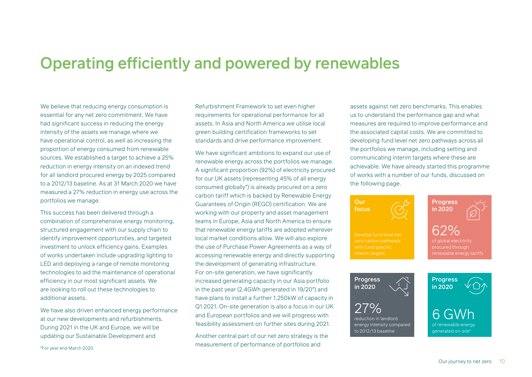## <span id="page-9-0"></span>Operating efficiently and powered by renewables

We believe that reducing energy consumption is essential for any net zero commitment. We have had significant success in reducing the energy intensity of the assets we manage where we have operational control, as well as increasing the proportion of energy consumed from renewable sources. We established a target to achieve a 25% reduction in energy intensity on an indexed trend for all landlord procured energy by 2025 compared to a 2012/13 baseline. As at 31 March 2020 we have measured a 27% reduction in energy use across the portfolios we manage.

This success has been delivered through a combination of comprehensive energy monitoring, structured engagement with our supply chain to identify improvement opportunities, and targeted investment to unlock efficiency gains. Examples of works undertaken include upgrading lighting to LED and deploying a range of remote monitoring technologies to aid the maintenance of operational efficiency in our most significant assets. We are looking to roll out these technologies to additional assets.

We have also driven enhanced energy performance at our new developments and refurbishments. During 2021 in the UK and Europe, we will be updating our Sustainable Development and

Refurbishment Framework to set even higher requirements for operational performance for all assets. In Asia and North America we utilise local green building certification frameworks to set standards and drive performance improvement.

We have significant ambitions to expand our use of renewable energy across the portfolios we manage. A significant proportion (92%) of electricity procured for our UK assets (representing 45% of all energy consumed globally\*) is already procured on a zero carbon tariff which is backed by Renewable Energy Guarantees of Origin (REGO) certification. We are working with our property and asset management teams in Europe, Asia and North America to ensure that renewable energy tariffs are adopted wherever local market conditions allow. We will also explore the use of Purchase Power Agreements as a way of accessing renewable energy and directly supporting the development of generating infrastructure. For on-site generation, we have significantly increased generating capacity in our Asia portfolio in the past year (2.4GWh generated in 19/20\*) and have plans to install a further 1,250kW of capacity in Q1 2021. On-site generation is also a focus in our UK and European portfolios and we will progress with feasibility assessment on further sites during 2021.

Another central part of our net zero strategy is the measurement of performance of portfolios and

assets against net zero benchmarks. This enables us to understand the performance gap and what measures are required to improve performance and the associated capital costs. We are committed to developing fund level net zero pathways across all the portfolios we manage, including setting and communicating interim targets where these are achievable. We have already started this programme of works with a number of our funds, discussed on the following page.



\*For year end March 2020.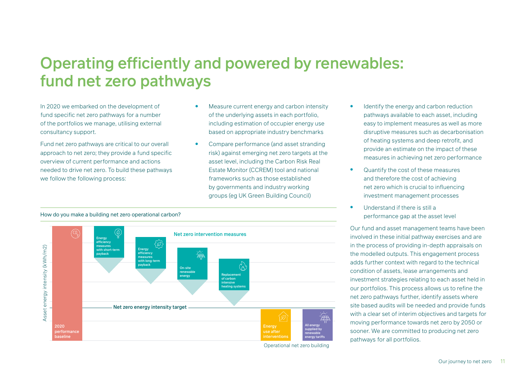# <span id="page-10-0"></span>Operating efficiently and powered by renewables: fund net zero pathways

In 2020 we embarked on the development of fund specific net zero pathways for a number of the portfolios we manage, utilising external consultancy support.

Fund net zero pathways are critical to our overall approach to net zero; they provide a fund specific overview of current performance and actions needed to drive net zero. To build these pathways we follow the following process:

- Measure current energy and carbon intensity of the underlying assets in each portfolio, including estimation of occupier energy use based on appropriate industry benchmarks
- Compare performance (and asset stranding risk) against emerging net zero targets at the asset level, including the Carbon Risk Real Estate Monitor (CCREM) tool and national frameworks such as those established by governments and industry working groups (eg UK Green Building Council)
- 
- easy to implement measures as well as more disruptive measures such as decarbonisation of heating systems and deep retrofit, and provide an estimate on the impact of these measures in achieving net zero performance

Identify the energy and carbon reduction pathways available to each asset, including

- Quantify the cost of these measures and therefore the cost of achieving net zero which is crucial to influencing investment management processes
- Understand if there is still a performance gap at the asset level

Our fund and asset management teams have been involved in these initial pathway exercises and are in the process of providing in-depth appraisals on the modelled outputs. This engagement process adds further context with regard to the technical condition of assets, lease arrangements and investment strategies relating to each asset held in our portfolios. This process allows us to refine the net zero pathways further, identify assets where site based audits will be needed and provide funds with a clear set of interim objectives and targets for moving performance towards net zero by 2050 or sooner. We are committed to producing net zero pathways for all portfolios.

#### How do you make a building net zero operational carbon?



Operational net zero building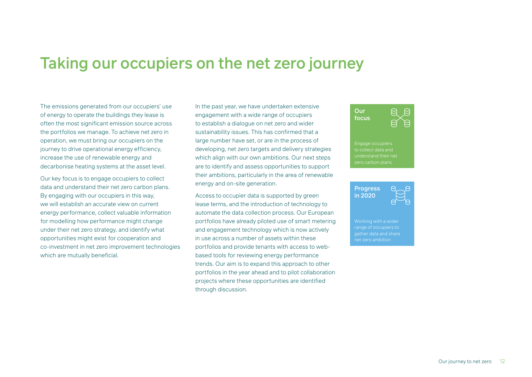### <span id="page-11-0"></span>Taking our occupiers on the net zero journey

The emissions generated from our occupiers' use of energy to operate the buildings they lease is often the most significant emission source across the portfolios we manage. To achieve net zero in operation, we must bring our occupiers on the journey to drive operational energy efficiency, increase the use of renewable energy and decarbonise heating systems at the asset level.

Our key focus is to engage occupiers to collect data and understand their net zero carbon plans. By engaging with our occupiers in this way, we will establish an accurate view on current energy performance, collect valuable information for modelling how performance might change under their net zero strategy, and identify what opportunities might exist for cooperation and co-investment in net zero improvement technologies which are mutually beneficial.

In the past year, we have undertaken extensive engagement with a wide range of occupiers to establish a dialogue on net zero and wider sustainability issues. This has confirmed that a large number have set, or are in the process of developing, net zero targets and delivery strategies which align with our own ambitions. Our next steps are to identify and assess opportunities to support their ambitions, particularly in the area of renewable energy and on-site generation.

Access to occupier data is supported by green lease terms, and the introduction of technology to automate the data collection process. Our European portfolios have already piloted use of smart metering and engagement technology which is now actively in use across a number of assets within these portfolios and provide tenants with access to webbased tools for reviewing energy performance trends. Our aim is to expand this approach to other portfolios in the year ahead and to pilot collaboration projects where these opportunities are identified through discussion.





Working with a wider range of occupiers to gather data and share net zero ambition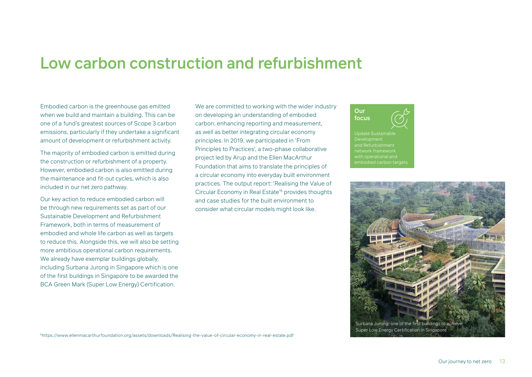### <span id="page-12-0"></span>Low carbon construction and refurbishment

Embodied carbon is the greenhouse gas emitted when we build and maintain a building. This can be one of a fund's greatest sources of Scope 3 carbon emissions, particularly if they undertake a significant amount of development or refurbishment activity.

The majority of embodied carbon is emitted during the construction or refurbishment of a property. However, embodied carbon is also emitted during the maintenance and fit-out cycles, which is also included in our net zero pathway.

Our key action to reduce embodied carbon will be through new requirements set as part of our Sustainable Development and Refurbishment Framework, both in terms of measurement of embodied and whole life carbon as well as targets to reduce this. Alongside this, we will also be setting more ambitious operational carbon requirements. We already have exemplar buildings globally, including Surbana Jurong in Singapore which is one of the first buildings in Singapore to be awarded the BCA Green Mark (Super Low Energy) Certification.

We are committed to working with the wider industry on developing an understanding of embodied carbon, enhancing reporting and measurement, as well as better integrating circular economy principles. In 2019, we participated in 'From Principles to Practices', a two-phase collaborative project led by Arup and the Ellen MacArthur Foundation that aims to translate the principles of a circular economy into everyday built environment practices. The output report: 'Realising the Value of Circular Economy in Real Estate'6 provides thoughts and case studies for the built environment to consider what circular models might look like.





6https://www.ellenmacarthurfoundation.org/assets/downloads/Realising-the-value-of-circular-economy-in-real-estate.pdf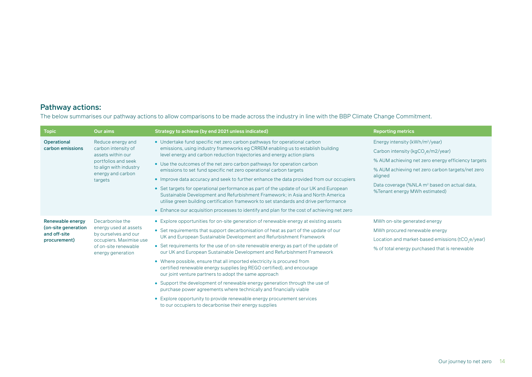#### Pathway actions:

The below summarises our pathway actions to allow comparisons to be made across the industry in line with the BBP Climate Change Commitment.

to our occupiers to decarbonise their energy supplies

| <b>Topic</b>                                                            | <b>Our aims</b>                                                                                                                                | Strategy to achieve (by end 2021 unless indicated)                                                                                                                                                                                                                                                                                                                                                                                                                                                                                                                                                                                                                                                                                                                                                                                                                  | <b>Reporting metrics</b>                                                                                                                                                                                                                                                                                        |
|-------------------------------------------------------------------------|------------------------------------------------------------------------------------------------------------------------------------------------|---------------------------------------------------------------------------------------------------------------------------------------------------------------------------------------------------------------------------------------------------------------------------------------------------------------------------------------------------------------------------------------------------------------------------------------------------------------------------------------------------------------------------------------------------------------------------------------------------------------------------------------------------------------------------------------------------------------------------------------------------------------------------------------------------------------------------------------------------------------------|-----------------------------------------------------------------------------------------------------------------------------------------------------------------------------------------------------------------------------------------------------------------------------------------------------------------|
| Operational<br>carbon emissions                                         | Reduce energy and<br>carbon intensity of<br>assets within our<br>portfolios and seek<br>to align with industry<br>energy and carbon<br>targets | • Undertake fund specific net zero carbon pathways for operational carbon<br>emissions, using industry frameworks eg CRREM enabling us to establish building<br>level energy and carbon reduction trajectories and energy action plans<br>• Use the outcomes of the net zero carbon pathways for operation carbon<br>emissions to set fund specific net zero operational carbon targets<br>• Improve data accuracy and seek to further enhance the data provided from our occupiers<br>• Set targets for operational performance as part of the update of our UK and European<br>Sustainable Development and Refurbishment Framework; in Asia and North America<br>utilise green building certification framework to set standards and drive performance<br>• Enhance our acquisition processes to identify and plan for the cost of achieving net zero             | Energy intensity (kWh/m <sup>2</sup> /year)<br>Carbon intensity (kgCO <sub>2</sub> e/m2/year)<br>% AUM achieving net zero energy efficiency targets<br>% AUM achieving net zero carbon targets/net zero<br>aligned<br>Data coverage (%NLA m <sup>2</sup> based on actual data,<br>%Tenant energy MWh estimated) |
| Renewable energy<br>(on-site generation<br>and off-site<br>procurement) | Decarbonise the<br>energy used at assets<br>by ourselves and our<br>occupiers. Maximise use<br>of on-site renewable<br>energy generation       | • Explore opportunities for on-site generation of renewable energy at existing assets<br>• Set requirements that support decarbonisation of heat as part of the update of our<br>UK and European Sustainable Development and Refurbishment Framework<br>• Set requirements for the use of on-site renewable energy as part of the update of<br>our UK and European Sustainable Development and Refurbishment Framework<br>• Where possible, ensure that all imported electricity is procured from<br>certified renewable energy supplies (eg REGO certified), and encourage<br>our joint venture partners to adopt the same approach<br>• Support the development of renewable energy generation through the use of<br>purchase power agreements where technically and financially viable<br>• Explore opportunity to provide renewable energy procurement services | MWh on-site generated energy<br>MWh procured renewable energy<br>Location and market-based emissions (tCO <sub>2</sub> e/year)<br>% of total energy purchased that is renewable                                                                                                                                 |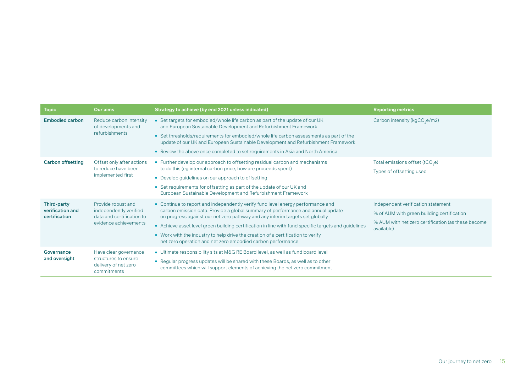| <b>Topic</b>                                            | Our aims                                                                                           | Strategy to achieve (by end 2021 unless indicated)                                                                                                                                                                                                                                                                                                                                                                                                                                                             | <b>Reporting metrics</b>                                                                                                                             |
|---------------------------------------------------------|----------------------------------------------------------------------------------------------------|----------------------------------------------------------------------------------------------------------------------------------------------------------------------------------------------------------------------------------------------------------------------------------------------------------------------------------------------------------------------------------------------------------------------------------------------------------------------------------------------------------------|------------------------------------------------------------------------------------------------------------------------------------------------------|
| <b>Embodied carbon</b>                                  | Reduce carbon intensity<br>of developments and<br>refurbishments                                   | • Set targets for embodied/whole life carbon as part of the update of our UK<br>and European Sustainable Development and Refurbishment Framework<br>• Set thresholds/requirements for embodied/whole life carbon assessments as part of the<br>update of our UK and European Sustainable Development and Refurbishment Framework<br>• Review the above once completed to set requirements in Asia and North America                                                                                            | Carbon intensity (kgCO <sub>2</sub> e/m2)                                                                                                            |
| <b>Carbon offsetting</b>                                | Offset only after actions<br>to reduce have been<br>implemented first                              | • Further develop our approach to offsetting residual carbon and mechanisms<br>to do this (eg internal carbon price, how are proceeds spent)<br>• Develop guidelines on our approach to offsetting<br>• Set requirements for offsetting as part of the update of our UK and<br>European Sustainable Development and Refurbishment Framework                                                                                                                                                                    | Total emissions offset (tCO <sub>2</sub> e)<br>Types of offsetting used                                                                              |
| <b>Third-party</b><br>verification and<br>certification | Provide robust and<br>independently verified<br>data and certification to<br>evidence achievements | • Continue to report and independently verify fund level energy performance and<br>carbon emission data. Provide a global summary of performance and annual update<br>on progress against our net zero pathway and any interim targets set globally<br>• Achieve asset level green building certification in line with fund specific targets and guidelines<br>• Work with the industry to help drive the creation of a certification to verify<br>net zero operation and net zero embodied carbon performance | Independent verification statement<br>% of AUM with green building certification<br>% AUM with net zero certification (as these become<br>available) |
| Governance<br>and oversight                             | Have clear governance<br>structures to ensure<br>delivery of net zero<br>commitments               | • Ultimate responsibility sits at M&G RE Board level, as well as fund board level<br>• Regular progress updates will be shared with these Boards, as well as to other<br>committees which will support elements of achieving the net zero commitment                                                                                                                                                                                                                                                           |                                                                                                                                                      |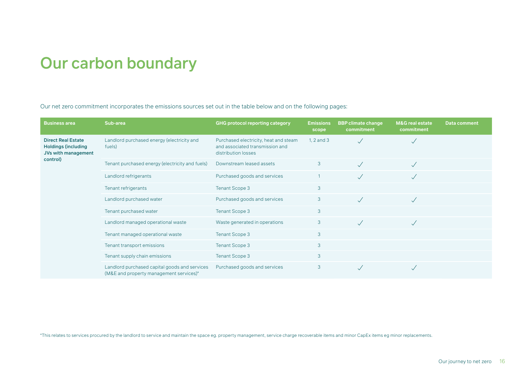# <span id="page-15-0"></span>Our carbon boundary

Our net zero commitment incorporates the emissions sources set out in the table below and on the following pages:

| <b>Business area</b>                                                           | Sub-area                                                                                 | <b>GHG protocol reporting category</b>                                                          | <b>Emissions</b><br>scope | <b>BBP climate change</b><br>commitment | <b>M&amp;G</b> real estate<br>commitment | <b>Data comment</b> |
|--------------------------------------------------------------------------------|------------------------------------------------------------------------------------------|-------------------------------------------------------------------------------------------------|---------------------------|-----------------------------------------|------------------------------------------|---------------------|
| <b>Direct Real Estate</b><br><b>Holdings (including</b><br>JVs with management | Landlord purchased energy (electricity and<br>fuels)                                     | Purchased electricity, heat and steam<br>and associated transmission and<br>distribution losses | 1, $2$ and $3$            |                                         |                                          |                     |
| control)                                                                       | Tenant purchased energy (electricity and fuels)                                          | Downstream leased assets                                                                        | 3                         |                                         |                                          |                     |
|                                                                                | Landlord refrigerants                                                                    | Purchased goods and services                                                                    |                           |                                         | $\sqrt{}$                                |                     |
|                                                                                | Tenant refrigerants                                                                      | <b>Tenant Scope 3</b>                                                                           | 3                         |                                         |                                          |                     |
|                                                                                | Landlord purchased water                                                                 | Purchased goods and services                                                                    | 3                         |                                         | $\sqrt{}$                                |                     |
|                                                                                | Tenant purchased water                                                                   | <b>Tenant Scope 3</b>                                                                           | 3                         |                                         |                                          |                     |
|                                                                                | Landlord managed operational waste                                                       | Waste generated in operations                                                                   | 3                         |                                         |                                          |                     |
|                                                                                | Tenant managed operational waste                                                         | <b>Tenant Scope 3</b>                                                                           | 3                         |                                         |                                          |                     |
|                                                                                | Tenant transport emissions                                                               | <b>Tenant Scope 3</b>                                                                           | 3                         |                                         |                                          |                     |
|                                                                                | Tenant supply chain emissions                                                            | <b>Tenant Scope 3</b>                                                                           | 3                         |                                         |                                          |                     |
|                                                                                | Landlord purchased capital goods and services<br>(M&E and property management services)* | Purchased goods and services                                                                    | 3                         |                                         |                                          |                     |

\*This relates to services procured by the landlord to service and maintain the space eg. property management, service charge recoverable items and minor CapEx items eg minor replacements.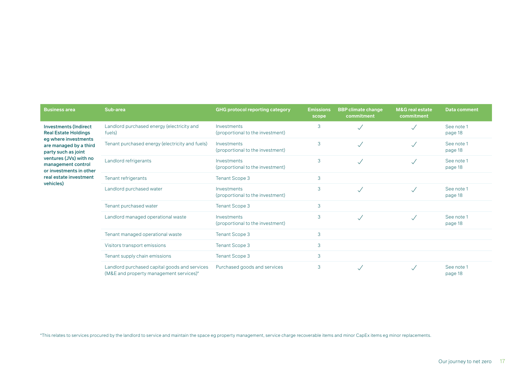| <b>Business area</b>                                                                                                                 | Sub-area                                                                                 | <b>GHG protocol reporting category</b>          | <b>Emissions</b><br>scope | <b>BBP climate change</b><br>commitment | <b>M&amp;G</b> real estate<br>commitment | <b>Data comment</b>   |
|--------------------------------------------------------------------------------------------------------------------------------------|------------------------------------------------------------------------------------------|-------------------------------------------------|---------------------------|-----------------------------------------|------------------------------------------|-----------------------|
| <b>Investments (Indirect</b><br><b>Real Estate Holdings</b><br>eg where investments<br>are managed by a third<br>party such as joint | Landlord purchased energy (electricity and<br>fuels)                                     | Investments<br>(proportional to the investment) | 3                         | $\checkmark$                            |                                          | See note 1<br>page 18 |
|                                                                                                                                      | Tenant purchased energy (electricity and fuels)                                          | Investments<br>(proportional to the investment) | 3                         | $\sqrt{}$                               | $\checkmark$                             | See note 1<br>page 18 |
| ventures (JVs) with no<br>management control<br>or investments in other                                                              | Landlord refrigerants                                                                    | Investments<br>(proportional to the investment) | 3                         | $\checkmark$                            | $\checkmark$                             | See note 1<br>page 18 |
| real estate investment                                                                                                               | Tenant refrigerants                                                                      | <b>Tenant Scope 3</b>                           | 3                         |                                         |                                          |                       |
| vehicles)                                                                                                                            | Landlord purchased water                                                                 | Investments<br>(proportional to the investment) | 3                         | $\checkmark$                            | $\checkmark$                             | See note 1<br>page 18 |
|                                                                                                                                      | Tenant purchased water                                                                   | <b>Tenant Scope 3</b>                           | 3                         |                                         |                                          |                       |
|                                                                                                                                      | Landlord managed operational waste                                                       | Investments<br>(proportional to the investment) | 3                         | $\checkmark$                            | $\checkmark$                             | See note 1<br>page 18 |
|                                                                                                                                      | Tenant managed operational waste                                                         | <b>Tenant Scope 3</b>                           | 3                         |                                         |                                          |                       |
|                                                                                                                                      | Visitors transport emissions                                                             | <b>Tenant Scope 3</b>                           | 3                         |                                         |                                          |                       |
|                                                                                                                                      | Tenant supply chain emissions                                                            | <b>Tenant Scope 3</b>                           | 3                         |                                         |                                          |                       |
|                                                                                                                                      | Landlord purchased capital goods and services<br>(M&E and property management services)* | Purchased goods and services                    | 3                         |                                         |                                          | See note 1<br>page 18 |

\*This relates to services procured by the landlord to service and maintain the space eg property management, service charge recoverable items and minor CapEx items eg minor replacements.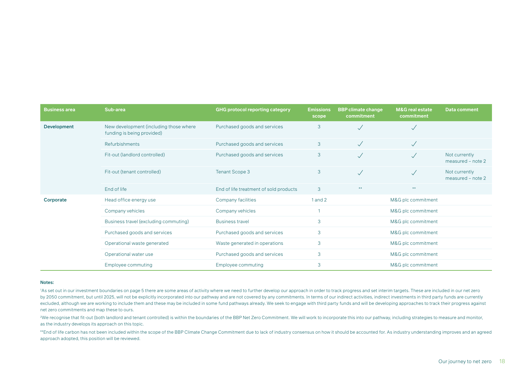| <b>Business area</b> | Sub-area                                                             | <b>GHG protocol reporting category</b> | <b>Emissions</b><br>scope | <b>BBP climate change</b><br>commitment | <b>M&amp;G</b> real estate<br>commitment | <b>Data comment</b>                |
|----------------------|----------------------------------------------------------------------|----------------------------------------|---------------------------|-----------------------------------------|------------------------------------------|------------------------------------|
| <b>Development</b>   | New development (including those where<br>funding is being provided) | Purchased goods and services           | 3                         | $\checkmark$                            | $\checkmark$                             |                                    |
|                      | Refurbishments                                                       | Purchased goods and services           | 3                         | $\sqrt{}$                               | $\checkmark$                             |                                    |
|                      | Fit-out (landlord controlled)                                        | Purchased goods and services           | 3                         |                                         | $\checkmark$                             | Not currently<br>measured - note 2 |
|                      | Fit-out (tenant controlled)                                          | <b>Tenant Scope 3</b>                  | 3                         | $\sqrt{}$                               |                                          | Not currently<br>measured - note 2 |
|                      | End of life                                                          | End of life treatment of sold products | 3                         | $***$                                   | $***$                                    |                                    |
| Corporate            | Head office energy use                                               | Company facilities                     | $1$ and $2$               |                                         | M&G plc commitment                       |                                    |
|                      | Company vehicles                                                     | Company vehicles                       |                           |                                         | M&G plc commitment                       |                                    |
|                      | Business travel (excluding commuting)                                | <b>Business travel</b>                 | 3                         |                                         | M&G plc commitment                       |                                    |
|                      | Purchased goods and services                                         | Purchased goods and services           | 3                         | M&G plc commitment                      |                                          |                                    |
|                      | Operational waste generated                                          | Waste generated in operations          | 3                         | M&G plc commitment                      |                                          |                                    |
|                      | Operational water use                                                | Purchased goods and services           | 3                         |                                         | M&G plc commitment                       |                                    |
|                      | Employee commuting                                                   | Employee commuting                     | 3                         |                                         | M&G plc commitment                       |                                    |

#### Notes:

1 As set out in our investment boundaries on page 5 there are some areas of activity where we need to further develop our approach in order to track progress and set interim targets. These are included in our net zero by 2050 commitment, but until 2025, will not be explicitly incorporated into our pathway and are not covered by any commitments. In terms of our indirect activities, indirect investments in third party funds are currently excluded, although we are working to include them and these may be included in some fund pathways already. We seek to engage with third party funds and will be developing approaches to track their progress against net zero commitments and map these to ours.

2 We recognise that fit-out (both landlord and tenant controlled) is within the boundaries of the BBP Net Zero Commitment. We will work to incorporate this into our pathway, including strategies to measure and monitor, as the industry develops its approach on this topic.

\*\*End of life carbon has not been included within the scope of the BBP Climate Change Commitment due to lack of industry consensus on how it should be accounted for. As industry understanding improves and an agreed approach adopted, this position will be reviewed.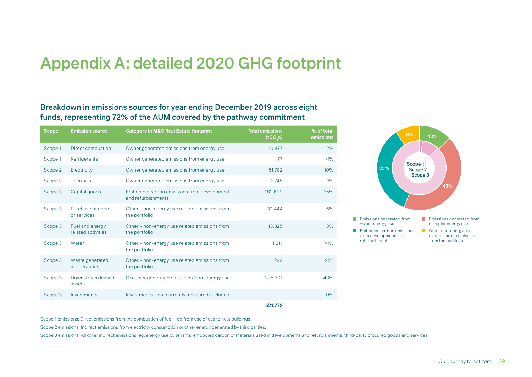# <span id="page-18-0"></span>Appendix A: detailed 2020 GHG footprint

#### Breakdown in emissions sources for year ending December 2019 across eight funds, representing 72% of the AUM covered by the pathway commitment

| <b>Scope</b> | <b>Emission source</b>                | <b>Category in M&amp;G Real Estate footprint</b>                 | <b>Total emissions</b><br>(tCO,e) | % of total<br>emissions |
|--------------|---------------------------------------|------------------------------------------------------------------|-----------------------------------|-------------------------|
| Scope 1      | Direct combustion                     | Owner generated emissions from energy use                        | 10,477                            | 2%                      |
| Scope 1      | Refrigerants                          | Owner generated emissions from energy use                        | 77                                | $>1\%$                  |
| Scope 2      | Electricity                           | Owner generated emissions from energy use                        | 51,782                            | 10%                     |
| Scope 2      | <b>Thermals</b>                       | Owner generated emissions from energy use                        | 2,748                             | 1%                      |
| Scope 3      | Capital goods                         | Embodied carbon emissions from development<br>and refurbishments | 182,609                           | 35%                     |
| Scope 3      | Purchase of goods<br>or services      | Other – non-energy use related emissions from<br>the portfolio   | 32,444                            | 6%                      |
| Scope 3      | Fuel and energy<br>related activities | Other – non-energy use related emissions from<br>the portfolio   | 13,825                            | 3%                      |
| Scope 3      | Water                                 | Other - non-energy use related emissions from<br>the portfolio   | 1.211                             | $>1\%$                  |
| Scope 3      | Waste generated<br>in operations      | Other - non-energy use related emissions from<br>the portfolio   | 299                               | $>1\%$                  |
| Scope 3      | Downstream leased<br>assets           | Occupier generated emissions from energy use                     | 226.301                           | 43%                     |
| Scope 3      | Investments                           | Investments - not currently measured/included                    |                                   | 0%                      |
|              |                                       |                                                                  | 521,772                           |                         |



Scope 1 emissions: Direct emissions from the combustion of fuel – eg from use of gas to heat buildings.

Scope 2 emissions: Indirect emissions from electricity consumption or other energy generated by third parties.

Scope 3 emissions: All other indirect emissions, eg, energy use by tenants, embodied carbon of materials used in developments and refurbishments, third-party procured goods and services. Emissions generated from owner energy use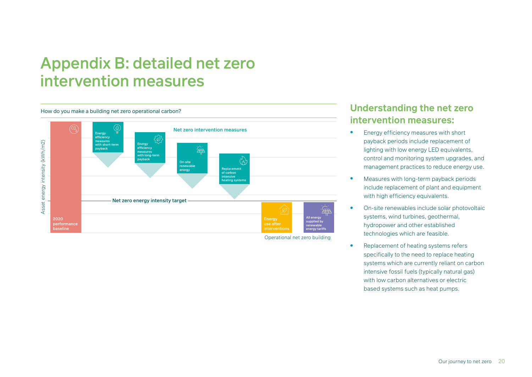# <span id="page-19-0"></span>Appendix B: detailed net zero intervention measures



Operational net zero building

#### **Understanding the net zero intervention measures:**

- **•** Energy efficiency measures with short payback periods include replacement of lighting with low energy LED equivalents, control and monitoring system upgrades, and management practices to reduce energy use.
- Measures with long-term payback periods include replacement of plant and equipment with high efficiency equivalents.
- On-site renewables include solar photovoltaic systems, wind turbines, geothermal, hydropower and other established technologies which are feasible.
- Replacement of heating systems refers specifically to the need to replace heating systems which are currently reliant on carbon intensive fossil fuels (typically natural gas) with low carbon alternatives or electric based systems such as heat pumps.